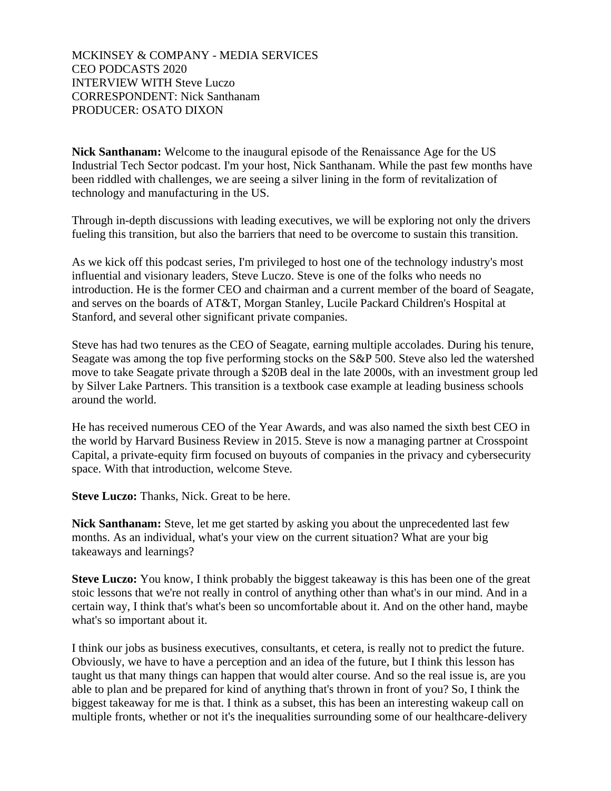MCKINSEY & COMPANY - MEDIA SERVICES CEO PODCASTS 2020 INTERVIEW WITH Steve Luczo CORRESPONDENT: Nick Santhanam PRODUCER: OSATO DIXON

**Nick Santhanam:** Welcome to the inaugural episode of the Renaissance Age for the US Industrial Tech Sector podcast. I'm your host, Nick Santhanam. While the past few months have been riddled with challenges, we are seeing a silver lining in the form of revitalization of technology and manufacturing in the US.

Through in-depth discussions with leading executives, we will be exploring not only the drivers fueling this transition, but also the barriers that need to be overcome to sustain this transition.

As we kick off this podcast series, I'm privileged to host one of the technology industry's most influential and visionary leaders, Steve Luczo. Steve is one of the folks who needs no introduction. He is the former CEO and chairman and a current member of the board of Seagate, and serves on the boards of AT&T, Morgan Stanley, Lucile Packard Children's Hospital at Stanford, and several other significant private companies.

Steve has had two tenures as the CEO of Seagate, earning multiple accolades. During his tenure, Seagate was among the top five performing stocks on the S&P 500. Steve also led the watershed move to take Seagate private through a \$20B deal in the late 2000s, with an investment group led by Silver Lake Partners. This transition is a textbook case example at leading business schools around the world.

He has received numerous CEO of the Year Awards, and was also named the sixth best CEO in the world by Harvard Business Review in 2015. Steve is now a managing partner at Crosspoint Capital, a private-equity firm focused on buyouts of companies in the privacy and cybersecurity space. With that introduction, welcome Steve.

**Steve Luczo:** Thanks, Nick. Great to be here.

**Nick Santhanam:** Steve, let me get started by asking you about the unprecedented last few months. As an individual, what's your view on the current situation? What are your big takeaways and learnings?

**Steve Luczo:** You know, I think probably the biggest takeaway is this has been one of the great stoic lessons that we're not really in control of anything other than what's in our mind. And in a certain way, I think that's what's been so uncomfortable about it. And on the other hand, maybe what's so important about it.

I think our jobs as business executives, consultants, et cetera, is really not to predict the future. Obviously, we have to have a perception and an idea of the future, but I think this lesson has taught us that many things can happen that would alter course. And so the real issue is, are you able to plan and be prepared for kind of anything that's thrown in front of you? So, I think the biggest takeaway for me is that. I think as a subset, this has been an interesting wakeup call on multiple fronts, whether or not it's the inequalities surrounding some of our healthcare-delivery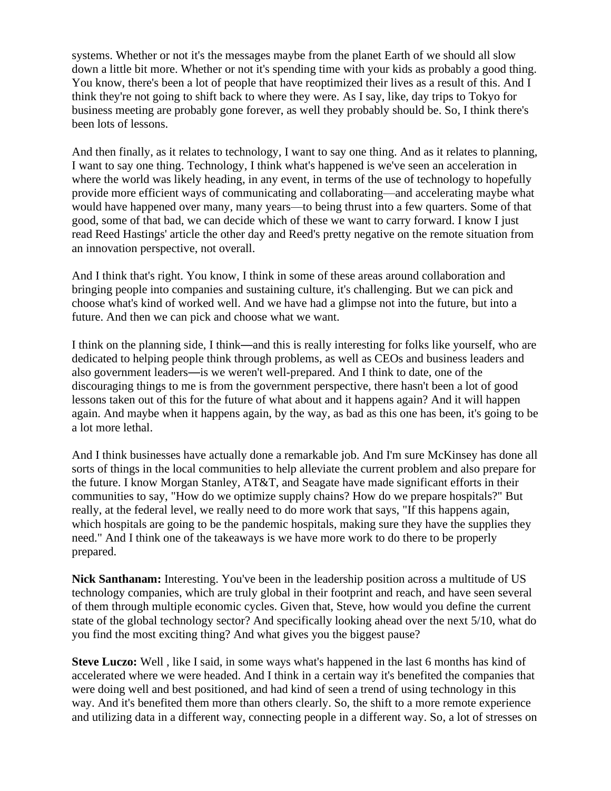systems. Whether or not it's the messages maybe from the planet Earth of we should all slow down a little bit more. Whether or not it's spending time with your kids as probably a good thing. You know, there's been a lot of people that have reoptimized their lives as a result of this. And I think they're not going to shift back to where they were. As I say, like, day trips to Tokyo for business meeting are probably gone forever, as well they probably should be. So, I think there's been lots of lessons.

And then finally, as it relates to technology, I want to say one thing. And as it relates to planning, I want to say one thing. Technology, I think what's happened is we've seen an acceleration in where the world was likely heading, in any event, in terms of the use of technology to hopefully provide more efficient ways of communicating and collaborating—and accelerating maybe what would have happened over many, many years—to being thrust into a few quarters. Some of that good, some of that bad, we can decide which of these we want to carry forward. I know I just read Reed Hastings' article the other day and Reed's pretty negative on the remote situation from an innovation perspective, not overall.

And I think that's right. You know, I think in some of these areas around collaboration and bringing people into companies and sustaining culture, it's challenging. But we can pick and choose what's kind of worked well. And we have had a glimpse not into the future, but into a future. And then we can pick and choose what we want.

I think on the planning side, I think—and this is really interesting for folks like yourself, who are dedicated to helping people think through problems, as well as CEOs and business leaders and also government leaders—is we weren't well-prepared. And I think to date, one of the discouraging things to me is from the government perspective, there hasn't been a lot of good lessons taken out of this for the future of what about and it happens again? And it will happen again. And maybe when it happens again, by the way, as bad as this one has been, it's going to be a lot more lethal.

And I think businesses have actually done a remarkable job. And I'm sure McKinsey has done all sorts of things in the local communities to help alleviate the current problem and also prepare for the future. I know Morgan Stanley, AT&T, and Seagate have made significant efforts in their communities to say, "How do we optimize supply chains? How do we prepare hospitals?" But really, at the federal level, we really need to do more work that says, "If this happens again, which hospitals are going to be the pandemic hospitals, making sure they have the supplies they need." And I think one of the takeaways is we have more work to do there to be properly prepared.

**Nick Santhanam:** Interesting. You've been in the leadership position across a multitude of US technology companies, which are truly global in their footprint and reach, and have seen several of them through multiple economic cycles. Given that, Steve, how would you define the current state of the global technology sector? And specifically looking ahead over the next 5/10, what do you find the most exciting thing? And what gives you the biggest pause?

**Steve Luczo:** Well , like I said, in some ways what's happened in the last 6 months has kind of accelerated where we were headed. And I think in a certain way it's benefited the companies that were doing well and best positioned, and had kind of seen a trend of using technology in this way. And it's benefited them more than others clearly. So, the shift to a more remote experience and utilizing data in a different way, connecting people in a different way. So, a lot of stresses on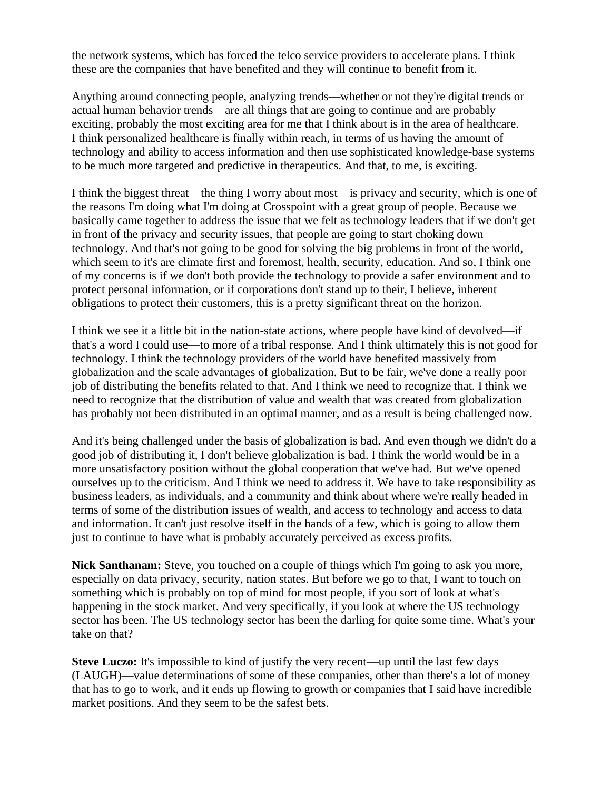the network systems, which has forced the telco service providers to accelerate plans. I think these are the companies that have benefited and they will continue to benefit from it.

Anything around connecting people, analyzing trends—whether or not they're digital trends or actual human behavior trends—are all things that are going to continue and are probably exciting, probably the most exciting area for me that I think about is in the area of healthcare. I think personalized healthcare is finally within reach, in terms of us having the amount of technology and ability to access information and then use sophisticated knowledge-base systems to be much more targeted and predictive in therapeutics. And that, to me, is exciting.

I think the biggest threat—the thing I worry about most—is privacy and security, which is one of the reasons I'm doing what I'm doing at Crosspoint with a great group of people. Because we basically came together to address the issue that we felt as technology leaders that if we don't get in front of the privacy and security issues, that people are going to start choking down technology. And that's not going to be good for solving the big problems in front of the world, which seem to it's are climate first and foremost, health, security, education. And so, I think one of my concerns is if we don't both provide the technology to provide a safer environment and to protect personal information, or if corporations don't stand up to their, I believe, inherent obligations to protect their customers, this is a pretty significant threat on the horizon.

I think we see it a little bit in the nation-state actions, where people have kind of devolved—if that's a word I could use—to more of a tribal response. And I think ultimately this is not good for technology. I think the technology providers of the world have benefited massively from globalization and the scale advantages of globalization. But to be fair, we've done a really poor job of distributing the benefits related to that. And I think we need to recognize that. I think we need to recognize that the distribution of value and wealth that was created from globalization has probably not been distributed in an optimal manner, and as a result is being challenged now.

And it's being challenged under the basis of globalization is bad. And even though we didn't do a good job of distributing it, I don't believe globalization is bad. I think the world would be in a more unsatisfactory position without the global cooperation that we've had. But we've opened ourselves up to the criticism. And I think we need to address it. We have to take responsibility as business leaders, as individuals, and a community and think about where we're really headed in terms of some of the distribution issues of wealth, and access to technology and access to data and information. It can't just resolve itself in the hands of a few, which is going to allow them just to continue to have what is probably accurately perceived as excess profits.

**Nick Santhanam:** Steve, you touched on a couple of things which I'm going to ask you more, especially on data privacy, security, nation states. But before we go to that, I want to touch on something which is probably on top of mind for most people, if you sort of look at what's happening in the stock market. And very specifically, if you look at where the US technology sector has been. The US technology sector has been the darling for quite some time. What's your take on that?

**Steve Luczo:** It's impossible to kind of justify the very recent—up until the last few days (LAUGH)—value determinations of some of these companies, other than there's a lot of money that has to go to work, and it ends up flowing to growth or companies that I said have incredible market positions. And they seem to be the safest bets.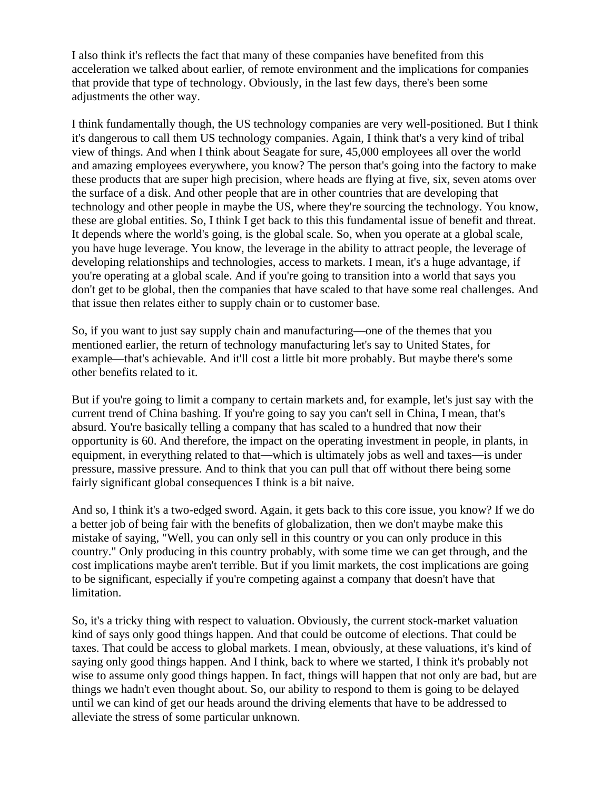I also think it's reflects the fact that many of these companies have benefited from this acceleration we talked about earlier, of remote environment and the implications for companies that provide that type of technology. Obviously, in the last few days, there's been some adjustments the other way.

I think fundamentally though, the US technology companies are very well-positioned. But I think it's dangerous to call them US technology companies. Again, I think that's a very kind of tribal view of things. And when I think about Seagate for sure, 45,000 employees all over the world and amazing employees everywhere, you know? The person that's going into the factory to make these products that are super high precision, where heads are flying at five, six, seven atoms over the surface of a disk. And other people that are in other countries that are developing that technology and other people in maybe the US, where they're sourcing the technology. You know, these are global entities. So, I think I get back to this this fundamental issue of benefit and threat. It depends where the world's going, is the global scale. So, when you operate at a global scale, you have huge leverage. You know, the leverage in the ability to attract people, the leverage of developing relationships and technologies, access to markets. I mean, it's a huge advantage, if you're operating at a global scale. And if you're going to transition into a world that says you don't get to be global, then the companies that have scaled to that have some real challenges. And that issue then relates either to supply chain or to customer base.

So, if you want to just say supply chain and manufacturing—one of the themes that you mentioned earlier, the return of technology manufacturing let's say to United States, for example—that's achievable. And it'll cost a little bit more probably. But maybe there's some other benefits related to it.

But if you're going to limit a company to certain markets and, for example, let's just say with the current trend of China bashing. If you're going to say you can't sell in China, I mean, that's absurd. You're basically telling a company that has scaled to a hundred that now their opportunity is 60. And therefore, the impact on the operating investment in people, in plants, in equipment, in everything related to that—which is ultimately jobs as well and taxes—is under pressure, massive pressure. And to think that you can pull that off without there being some fairly significant global consequences I think is a bit naive.

And so, I think it's a two-edged sword. Again, it gets back to this core issue, you know? If we do a better job of being fair with the benefits of globalization, then we don't maybe make this mistake of saying, "Well, you can only sell in this country or you can only produce in this country." Only producing in this country probably, with some time we can get through, and the cost implications maybe aren't terrible. But if you limit markets, the cost implications are going to be significant, especially if you're competing against a company that doesn't have that limitation.

So, it's a tricky thing with respect to valuation. Obviously, the current stock-market valuation kind of says only good things happen. And that could be outcome of elections. That could be taxes. That could be access to global markets. I mean, obviously, at these valuations, it's kind of saying only good things happen. And I think, back to where we started, I think it's probably not wise to assume only good things happen. In fact, things will happen that not only are bad, but are things we hadn't even thought about. So, our ability to respond to them is going to be delayed until we can kind of get our heads around the driving elements that have to be addressed to alleviate the stress of some particular unknown.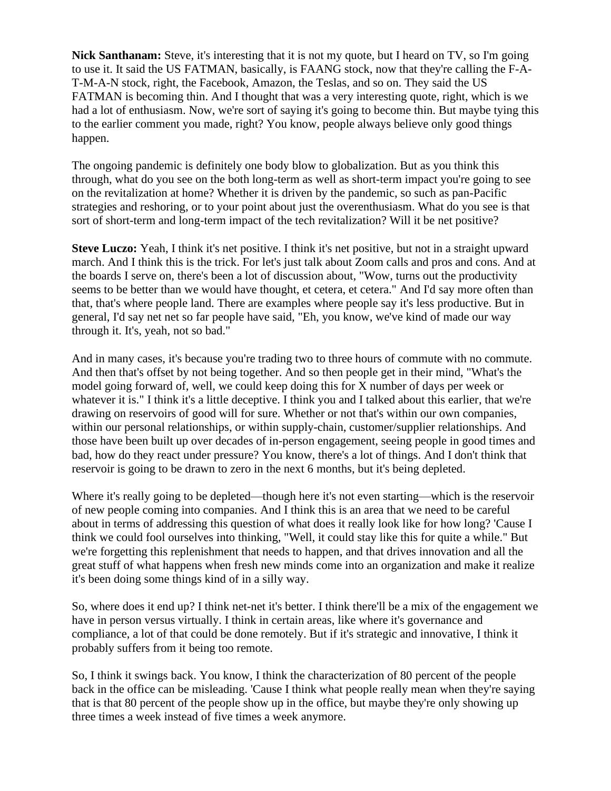**Nick Santhanam:** Steve, it's interesting that it is not my quote, but I heard on TV, so I'm going to use it. It said the US FATMAN, basically, is FAANG stock, now that they're calling the F-A-T-M-A-N stock, right, the Facebook, Amazon, the Teslas, and so on. They said the US FATMAN is becoming thin. And I thought that was a very interesting quote, right, which is we had a lot of enthusiasm. Now, we're sort of saying it's going to become thin. But maybe tying this to the earlier comment you made, right? You know, people always believe only good things happen.

The ongoing pandemic is definitely one body blow to globalization. But as you think this through, what do you see on the both long-term as well as short-term impact you're going to see on the revitalization at home? Whether it is driven by the pandemic, so such as pan-Pacific strategies and reshoring, or to your point about just the overenthusiasm. What do you see is that sort of short-term and long-term impact of the tech revitalization? Will it be net positive?

**Steve Luczo:** Yeah, I think it's net positive. I think it's net positive, but not in a straight upward march. And I think this is the trick. For let's just talk about Zoom calls and pros and cons. And at the boards I serve on, there's been a lot of discussion about, "Wow, turns out the productivity seems to be better than we would have thought, et cetera, et cetera." And I'd say more often than that, that's where people land. There are examples where people say it's less productive. But in general, I'd say net net so far people have said, "Eh, you know, we've kind of made our way through it. It's, yeah, not so bad."

And in many cases, it's because you're trading two to three hours of commute with no commute. And then that's offset by not being together. And so then people get in their mind, "What's the model going forward of, well, we could keep doing this for X number of days per week or whatever it is." I think it's a little deceptive. I think you and I talked about this earlier, that we're drawing on reservoirs of good will for sure. Whether or not that's within our own companies, within our personal relationships, or within supply-chain, customer/supplier relationships. And those have been built up over decades of in-person engagement, seeing people in good times and bad, how do they react under pressure? You know, there's a lot of things. And I don't think that reservoir is going to be drawn to zero in the next 6 months, but it's being depleted.

Where it's really going to be depleted—though here it's not even starting—which is the reservoir of new people coming into companies. And I think this is an area that we need to be careful about in terms of addressing this question of what does it really look like for how long? 'Cause I think we could fool ourselves into thinking, "Well, it could stay like this for quite a while." But we're forgetting this replenishment that needs to happen, and that drives innovation and all the great stuff of what happens when fresh new minds come into an organization and make it realize it's been doing some things kind of in a silly way.

So, where does it end up? I think net-net it's better. I think there'll be a mix of the engagement we have in person versus virtually. I think in certain areas, like where it's governance and compliance, a lot of that could be done remotely. But if it's strategic and innovative, I think it probably suffers from it being too remote.

So, I think it swings back. You know, I think the characterization of 80 percent of the people back in the office can be misleading. 'Cause I think what people really mean when they're saying that is that 80 percent of the people show up in the office, but maybe they're only showing up three times a week instead of five times a week anymore.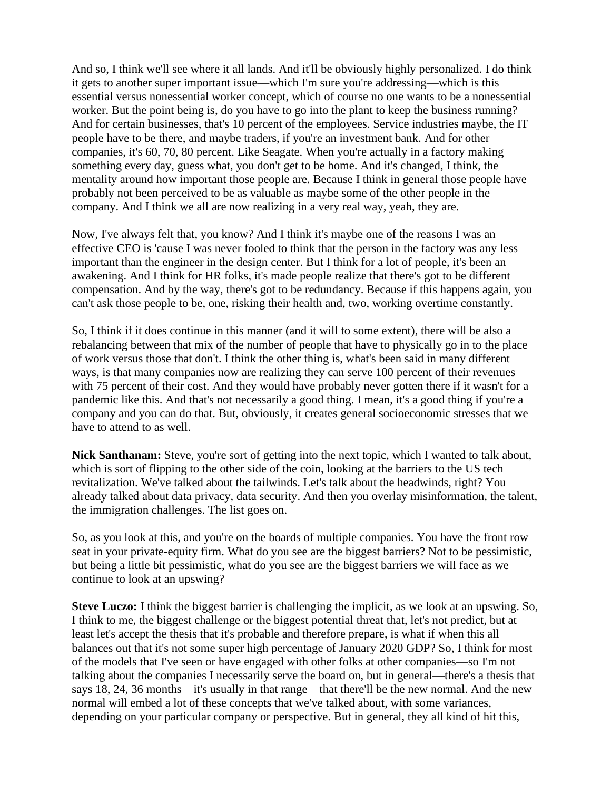And so, I think we'll see where it all lands. And it'll be obviously highly personalized. I do think it gets to another super important issue—which I'm sure you're addressing—which is this essential versus nonessential worker concept, which of course no one wants to be a nonessential worker. But the point being is, do you have to go into the plant to keep the business running? And for certain businesses, that's 10 percent of the employees. Service industries maybe, the IT people have to be there, and maybe traders, if you're an investment bank. And for other companies, it's 60, 70, 80 percent. Like Seagate. When you're actually in a factory making something every day, guess what, you don't get to be home. And it's changed, I think, the mentality around how important those people are. Because I think in general those people have probably not been perceived to be as valuable as maybe some of the other people in the company. And I think we all are now realizing in a very real way, yeah, they are.

Now, I've always felt that, you know? And I think it's maybe one of the reasons I was an effective CEO is 'cause I was never fooled to think that the person in the factory was any less important than the engineer in the design center. But I think for a lot of people, it's been an awakening. And I think for HR folks, it's made people realize that there's got to be different compensation. And by the way, there's got to be redundancy. Because if this happens again, you can't ask those people to be, one, risking their health and, two, working overtime constantly.

So, I think if it does continue in this manner (and it will to some extent), there will be also a rebalancing between that mix of the number of people that have to physically go in to the place of work versus those that don't. I think the other thing is, what's been said in many different ways, is that many companies now are realizing they can serve 100 percent of their revenues with 75 percent of their cost. And they would have probably never gotten there if it wasn't for a pandemic like this. And that's not necessarily a good thing. I mean, it's a good thing if you're a company and you can do that. But, obviously, it creates general socioeconomic stresses that we have to attend to as well.

**Nick Santhanam:** Steve, you're sort of getting into the next topic, which I wanted to talk about, which is sort of flipping to the other side of the coin, looking at the barriers to the US tech revitalization. We've talked about the tailwinds. Let's talk about the headwinds, right? You already talked about data privacy, data security. And then you overlay misinformation, the talent, the immigration challenges. The list goes on.

So, as you look at this, and you're on the boards of multiple companies. You have the front row seat in your private-equity firm. What do you see are the biggest barriers? Not to be pessimistic, but being a little bit pessimistic, what do you see are the biggest barriers we will face as we continue to look at an upswing?

**Steve Luczo:** I think the biggest barrier is challenging the implicit, as we look at an upswing. So, I think to me, the biggest challenge or the biggest potential threat that, let's not predict, but at least let's accept the thesis that it's probable and therefore prepare, is what if when this all balances out that it's not some super high percentage of January 2020 GDP? So, I think for most of the models that I've seen or have engaged with other folks at other companies—so I'm not talking about the companies I necessarily serve the board on, but in general—there's a thesis that says 18, 24, 36 months—it's usually in that range—that there'll be the new normal. And the new normal will embed a lot of these concepts that we've talked about, with some variances, depending on your particular company or perspective. But in general, they all kind of hit this,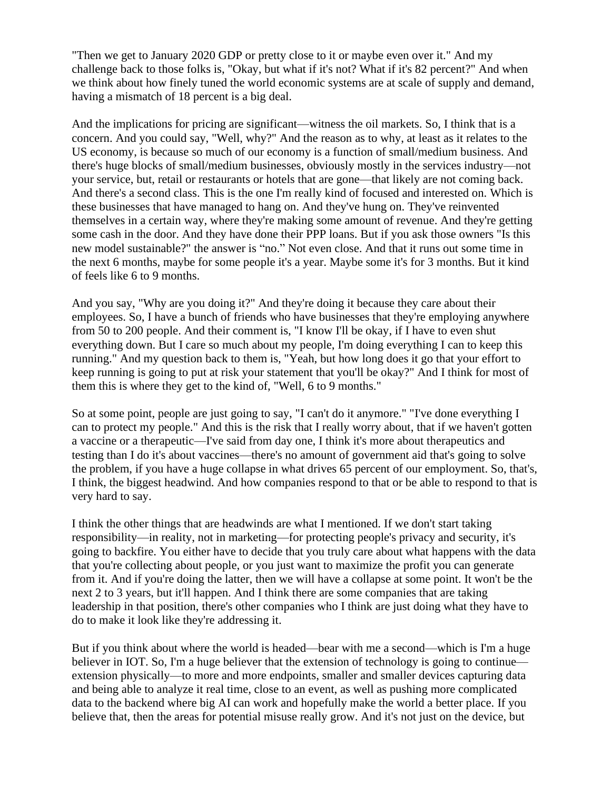"Then we get to January 2020 GDP or pretty close to it or maybe even over it." And my challenge back to those folks is, "Okay, but what if it's not? What if it's 82 percent?" And when we think about how finely tuned the world economic systems are at scale of supply and demand, having a mismatch of 18 percent is a big deal.

And the implications for pricing are significant—witness the oil markets. So, I think that is a concern. And you could say, "Well, why?" And the reason as to why, at least as it relates to the US economy, is because so much of our economy is a function of small/medium business. And there's huge blocks of small/medium businesses, obviously mostly in the services industry—not your service, but, retail or restaurants or hotels that are gone—that likely are not coming back. And there's a second class. This is the one I'm really kind of focused and interested on. Which is these businesses that have managed to hang on. And they've hung on. They've reinvented themselves in a certain way, where they're making some amount of revenue. And they're getting some cash in the door. And they have done their PPP loans. But if you ask those owners "Is this new model sustainable?" the answer is "no." Not even close. And that it runs out some time in the next 6 months, maybe for some people it's a year. Maybe some it's for 3 months. But it kind of feels like 6 to 9 months.

And you say, "Why are you doing it?" And they're doing it because they care about their employees. So, I have a bunch of friends who have businesses that they're employing anywhere from 50 to 200 people. And their comment is, "I know I'll be okay, if I have to even shut everything down. But I care so much about my people, I'm doing everything I can to keep this running." And my question back to them is, "Yeah, but how long does it go that your effort to keep running is going to put at risk your statement that you'll be okay?" And I think for most of them this is where they get to the kind of, "Well, 6 to 9 months."

So at some point, people are just going to say, "I can't do it anymore." "I've done everything I can to protect my people." And this is the risk that I really worry about, that if we haven't gotten a vaccine or a therapeutic—I've said from day one, I think it's more about therapeutics and testing than I do it's about vaccines—there's no amount of government aid that's going to solve the problem, if you have a huge collapse in what drives 65 percent of our employment. So, that's, I think, the biggest headwind. And how companies respond to that or be able to respond to that is very hard to say.

I think the other things that are headwinds are what I mentioned. If we don't start taking responsibility—in reality, not in marketing—for protecting people's privacy and security, it's going to backfire. You either have to decide that you truly care about what happens with the data that you're collecting about people, or you just want to maximize the profit you can generate from it. And if you're doing the latter, then we will have a collapse at some point. It won't be the next 2 to 3 years, but it'll happen. And I think there are some companies that are taking leadership in that position, there's other companies who I think are just doing what they have to do to make it look like they're addressing it.

But if you think about where the world is headed—bear with me a second—which is I'm a huge believer in IOT. So, I'm a huge believer that the extension of technology is going to continue extension physically—to more and more endpoints, smaller and smaller devices capturing data and being able to analyze it real time, close to an event, as well as pushing more complicated data to the backend where big AI can work and hopefully make the world a better place. If you believe that, then the areas for potential misuse really grow. And it's not just on the device, but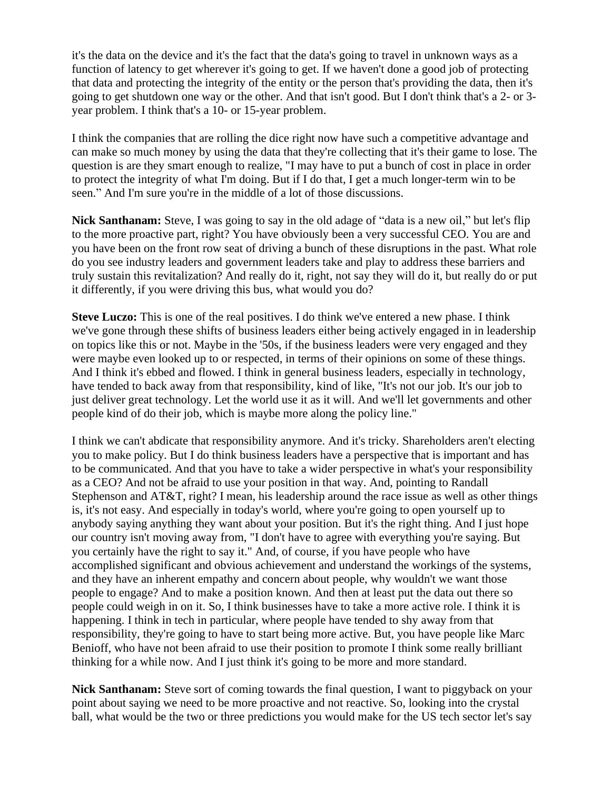it's the data on the device and it's the fact that the data's going to travel in unknown ways as a function of latency to get wherever it's going to get. If we haven't done a good job of protecting that data and protecting the integrity of the entity or the person that's providing the data, then it's going to get shutdown one way or the other. And that isn't good. But I don't think that's a 2- or 3 year problem. I think that's a 10- or 15-year problem.

I think the companies that are rolling the dice right now have such a competitive advantage and can make so much money by using the data that they're collecting that it's their game to lose. The question is are they smart enough to realize, "I may have to put a bunch of cost in place in order to protect the integrity of what I'm doing. But if I do that, I get a much longer-term win to be seen." And I'm sure you're in the middle of a lot of those discussions.

**Nick Santhanam:** Steve, I was going to say in the old adage of "data is a new oil," but let's flip to the more proactive part, right? You have obviously been a very successful CEO. You are and you have been on the front row seat of driving a bunch of these disruptions in the past. What role do you see industry leaders and government leaders take and play to address these barriers and truly sustain this revitalization? And really do it, right, not say they will do it, but really do or put it differently, if you were driving this bus, what would you do?

**Steve Luczo:** This is one of the real positives. I do think we've entered a new phase. I think we've gone through these shifts of business leaders either being actively engaged in in leadership on topics like this or not. Maybe in the '50s, if the business leaders were very engaged and they were maybe even looked up to or respected, in terms of their opinions on some of these things. And I think it's ebbed and flowed. I think in general business leaders, especially in technology, have tended to back away from that responsibility, kind of like, "It's not our job. It's our job to just deliver great technology. Let the world use it as it will. And we'll let governments and other people kind of do their job, which is maybe more along the policy line."

I think we can't abdicate that responsibility anymore. And it's tricky. Shareholders aren't electing you to make policy. But I do think business leaders have a perspective that is important and has to be communicated. And that you have to take a wider perspective in what's your responsibility as a CEO? And not be afraid to use your position in that way. And, pointing to Randall Stephenson and AT&T, right? I mean, his leadership around the race issue as well as other things is, it's not easy. And especially in today's world, where you're going to open yourself up to anybody saying anything they want about your position. But it's the right thing. And I just hope our country isn't moving away from, "I don't have to agree with everything you're saying. But you certainly have the right to say it." And, of course, if you have people who have accomplished significant and obvious achievement and understand the workings of the systems, and they have an inherent empathy and concern about people, why wouldn't we want those people to engage? And to make a position known. And then at least put the data out there so people could weigh in on it. So, I think businesses have to take a more active role. I think it is happening. I think in tech in particular, where people have tended to shy away from that responsibility, they're going to have to start being more active. But, you have people like Marc Benioff, who have not been afraid to use their position to promote I think some really brilliant thinking for a while now. And I just think it's going to be more and more standard.

**Nick Santhanam:** Steve sort of coming towards the final question, I want to piggyback on your point about saying we need to be more proactive and not reactive. So, looking into the crystal ball, what would be the two or three predictions you would make for the US tech sector let's say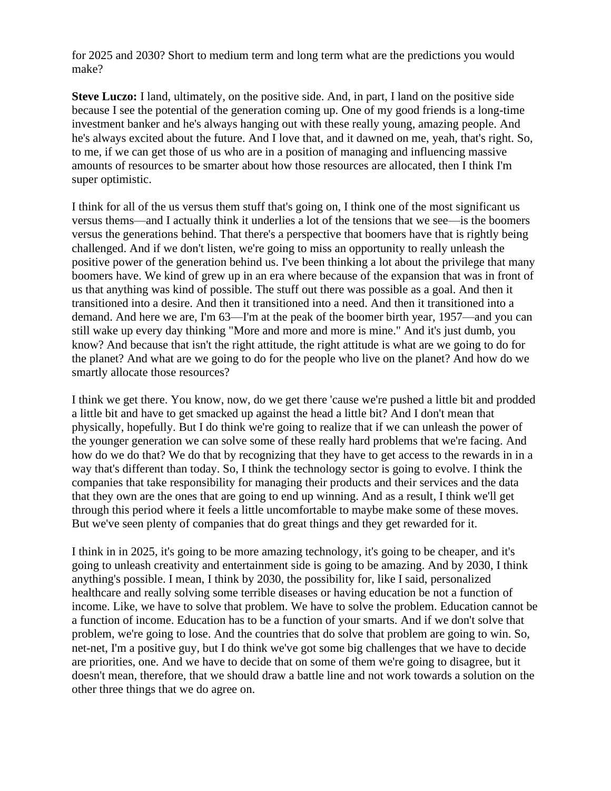for 2025 and 2030? Short to medium term and long term what are the predictions you would make?

**Steve Luczo:** I land, ultimately, on the positive side. And, in part, I land on the positive side because I see the potential of the generation coming up. One of my good friends is a long-time investment banker and he's always hanging out with these really young, amazing people. And he's always excited about the future. And I love that, and it dawned on me, yeah, that's right. So, to me, if we can get those of us who are in a position of managing and influencing massive amounts of resources to be smarter about how those resources are allocated, then I think I'm super optimistic.

I think for all of the us versus them stuff that's going on, I think one of the most significant us versus thems—and I actually think it underlies a lot of the tensions that we see—is the boomers versus the generations behind. That there's a perspective that boomers have that is rightly being challenged. And if we don't listen, we're going to miss an opportunity to really unleash the positive power of the generation behind us. I've been thinking a lot about the privilege that many boomers have. We kind of grew up in an era where because of the expansion that was in front of us that anything was kind of possible. The stuff out there was possible as a goal. And then it transitioned into a desire. And then it transitioned into a need. And then it transitioned into a demand. And here we are, I'm 63—I'm at the peak of the boomer birth year, 1957—and you can still wake up every day thinking "More and more and more is mine." And it's just dumb, you know? And because that isn't the right attitude, the right attitude is what are we going to do for the planet? And what are we going to do for the people who live on the planet? And how do we smartly allocate those resources?

I think we get there. You know, now, do we get there 'cause we're pushed a little bit and prodded a little bit and have to get smacked up against the head a little bit? And I don't mean that physically, hopefully. But I do think we're going to realize that if we can unleash the power of the younger generation we can solve some of these really hard problems that we're facing. And how do we do that? We do that by recognizing that they have to get access to the rewards in in a way that's different than today. So, I think the technology sector is going to evolve. I think the companies that take responsibility for managing their products and their services and the data that they own are the ones that are going to end up winning. And as a result, I think we'll get through this period where it feels a little uncomfortable to maybe make some of these moves. But we've seen plenty of companies that do great things and they get rewarded for it.

I think in in 2025, it's going to be more amazing technology, it's going to be cheaper, and it's going to unleash creativity and entertainment side is going to be amazing. And by 2030, I think anything's possible. I mean, I think by 2030, the possibility for, like I said, personalized healthcare and really solving some terrible diseases or having education be not a function of income. Like, we have to solve that problem. We have to solve the problem. Education cannot be a function of income. Education has to be a function of your smarts. And if we don't solve that problem, we're going to lose. And the countries that do solve that problem are going to win. So, net-net, I'm a positive guy, but I do think we've got some big challenges that we have to decide are priorities, one. And we have to decide that on some of them we're going to disagree, but it doesn't mean, therefore, that we should draw a battle line and not work towards a solution on the other three things that we do agree on.